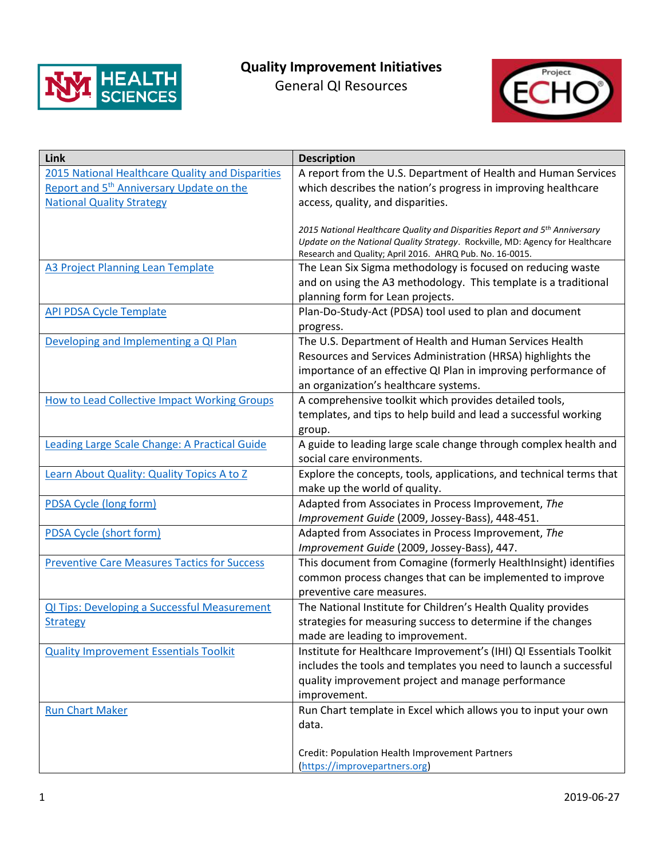

## **Quality Improvement Initiatives**

General QI Resources



| Link                                                 | <b>Description</b>                                                                                                      |
|------------------------------------------------------|-------------------------------------------------------------------------------------------------------------------------|
| 2015 National Healthcare Quality and Disparities     | A report from the U.S. Department of Health and Human Services                                                          |
| Report and 5 <sup>th</sup> Anniversary Update on the | which describes the nation's progress in improving healthcare                                                           |
| <b>National Quality Strategy</b>                     | access, quality, and disparities.                                                                                       |
|                                                      |                                                                                                                         |
|                                                      | 2015 National Healthcare Quality and Disparities Report and 5th Anniversary                                             |
|                                                      | Update on the National Quality Strategy. Rockville, MD: Agency for Healthcare                                           |
| <b>A3 Project Planning Lean Template</b>             | Research and Quality; April 2016. AHRQ Pub. No. 16-0015.<br>The Lean Six Sigma methodology is focused on reducing waste |
|                                                      | and on using the A3 methodology. This template is a traditional                                                         |
|                                                      | planning form for Lean projects.                                                                                        |
| <b>API PDSA Cycle Template</b>                       | Plan-Do-Study-Act (PDSA) tool used to plan and document                                                                 |
|                                                      |                                                                                                                         |
| Developing and Implementing a QI Plan                | progress.<br>The U.S. Department of Health and Human Services Health                                                    |
|                                                      | Resources and Services Administration (HRSA) highlights the                                                             |
|                                                      |                                                                                                                         |
|                                                      | importance of an effective QI Plan in improving performance of                                                          |
|                                                      | an organization's healthcare systems.                                                                                   |
| <b>How to Lead Collective Impact Working Groups</b>  | A comprehensive toolkit which provides detailed tools,                                                                  |
|                                                      | templates, and tips to help build and lead a successful working                                                         |
|                                                      | group.                                                                                                                  |
| <b>Leading Large Scale Change: A Practical Guide</b> | A guide to leading large scale change through complex health and<br>social care environments.                           |
| Learn About Quality: Quality Topics A to Z           |                                                                                                                         |
|                                                      | Explore the concepts, tools, applications, and technical terms that<br>make up the world of quality.                    |
| <b>PDSA Cycle (long form)</b>                        | Adapted from Associates in Process Improvement, The                                                                     |
|                                                      | Improvement Guide (2009, Jossey-Bass), 448-451.                                                                         |
| <b>PDSA Cycle (short form)</b>                       | Adapted from Associates in Process Improvement, The                                                                     |
|                                                      | Improvement Guide (2009, Jossey-Bass), 447.                                                                             |
| <b>Preventive Care Measures Tactics for Success</b>  | This document from Comagine (formerly HealthInsight) identifies                                                         |
|                                                      | common process changes that can be implemented to improve                                                               |
|                                                      | preventive care measures.                                                                                               |
| QI Tips: Developing a Successful Measurement         | The National Institute for Children's Health Quality provides                                                           |
| <b>Strategy</b>                                      | strategies for measuring success to determine if the changes                                                            |
|                                                      | made are leading to improvement.                                                                                        |
| <b>Quality Improvement Essentials Toolkit</b>        | Institute for Healthcare Improvement's (IHI) QI Essentials Toolkit                                                      |
|                                                      | includes the tools and templates you need to launch a successful                                                        |
|                                                      | quality improvement project and manage performance                                                                      |
|                                                      | improvement.                                                                                                            |
| <b>Run Chart Maker</b>                               | Run Chart template in Excel which allows you to input your own                                                          |
|                                                      | data.                                                                                                                   |
|                                                      |                                                                                                                         |
|                                                      | Credit: Population Health Improvement Partners                                                                          |
|                                                      | (https://improvepartners.org)                                                                                           |